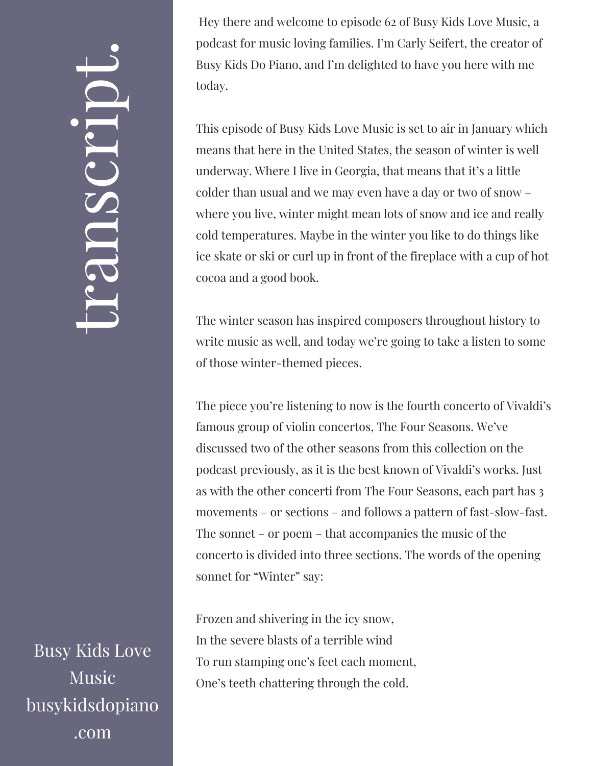## $\leftarrow$ ra<br>S n $\boldsymbol{C}$  $\bigcup$ r $\bullet$   $\overline{\phantom{a}}$  $\boxed{\phantom{1}}$  $\overline{\phantom{a}}$  $\bullet$

Busy Kids Love Music busykidsdopiano .com

Hey there and welcome to episode 62 of Busy Kids Love Music, a podcast for music loving families. I'm Carly Seifert, the creator of Busy Kids Do Piano, and I'm delighted to have you here with me today.

This episode of Busy Kids Love Music is set to air in January which means that here in the United States, the season of winter is well underway. Where I live in Georgia, that means that it's a little colder than usual and we may even have a day or two of snow – where you live, winter might mean lots of snow and ice and really cold temperatures. Maybe in the winter you like to do things like ice skate or ski or curl up in front of the fireplace with a cup of hot cocoa and a good book.

The winter season has inspired composers throughout history to write music as well, and today we're going to take a listen to some of those winter-themed pieces.

The piece you're listening to now is the fourth concerto of Vivaldi's famous group of violin concertos, The Four Seasons. We've discussed two of the other seasons from this collection on the podcast previously, as it is the best known of Vivaldi's works. Just as with the other concerti from The Four Seasons, each part has 3 movements – or sections – and follows a pattern of fast-slow-fast. The sonnet – or poem – that accompanies the music of the concerto is divided into three sections. The words of the opening sonnet for "Winter" say:

Frozen and shivering in the icy snow, In the severe blasts of a terrible wind To run stamping one's feet each moment, One's teeth chattering through the cold.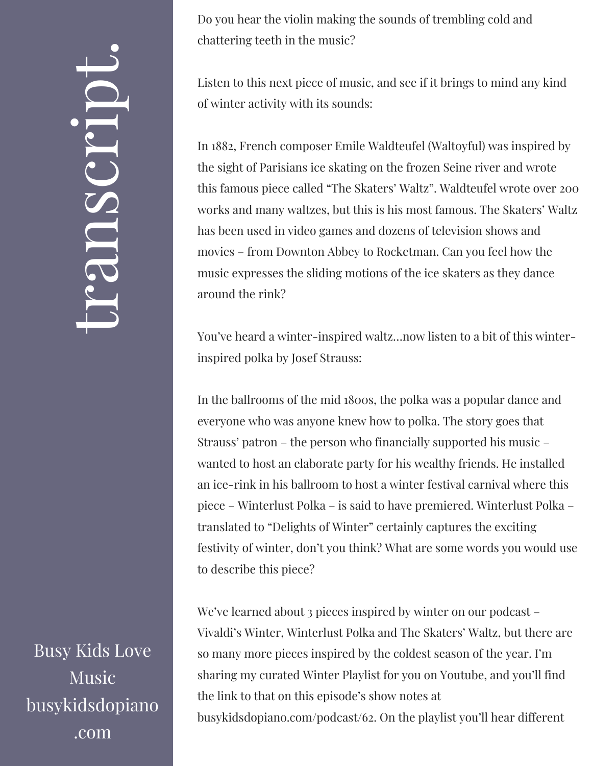## $\leftarrow$ ra<br>S n $\boldsymbol{C}$  $\bigcup$ r $\bullet$   $\overline{\phantom{a}}$  $\boxed{\phantom{1}}$  $\overline{\phantom{a}}$  $\bullet$

Busy Kids Love Music busykidsdopiano .com

Do you hear the violin making the sounds of trembling cold and chattering teeth in the music?

Listen to this next piece of music, and see if it brings to mind any kind of winter activity with its sounds:

In 1882, French composer Emile Waldteufel (Waltoyful) was inspired by the sight of Parisians ice skating on the frozen Seine river and wrote this famous piece called "The Skaters' Waltz". Waldteufel wrote over 200 works and many waltzes, but this is his most famous. The Skaters' Waltz has been used in video games and dozens of television shows and movies – from Downton Abbey to Rocketman. Can you feel how the music expresses the sliding motions of the ice skaters as they dance around the rink?

You've heard a winter-inspired waltz…now listen to a bit of this winterinspired polka by Josef Strauss:

In the ballrooms of the mid 1800s, the polka was a popular dance and everyone who was anyone knew how to polka. The story goes that Strauss' patron – the person who financially supported his music – wanted to host an elaborate party for his wealthy friends. He installed an ice-rink in his ballroom to host a winter festival carnival where this piece – Winterlust Polka – is said to have premiered. Winterlust Polka – translated to "Delights of Winter" certainly captures the exciting festivity of winter, don't you think? What are some words you would use to describe this piece?

We've learned about 3 pieces inspired by winter on our podcast – Vivaldi's Winter, Winterlust Polka and The Skaters' Waltz, but there are so many more pieces inspired by the coldest season of the year. I'm sharing my curated Winter Playlist for you on Youtube, and you'll find the link to that on this episode's show notes at busykidsdopiano.com/podcast/62. On the playlist you'll hear different